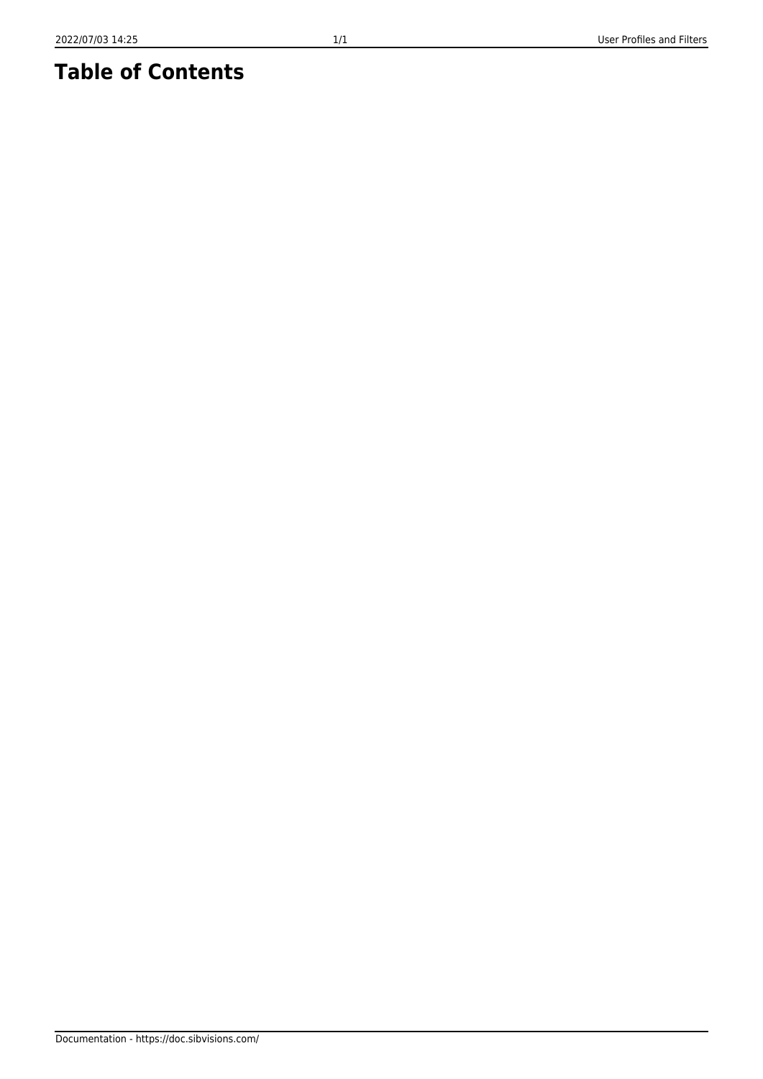# **Table of Contents**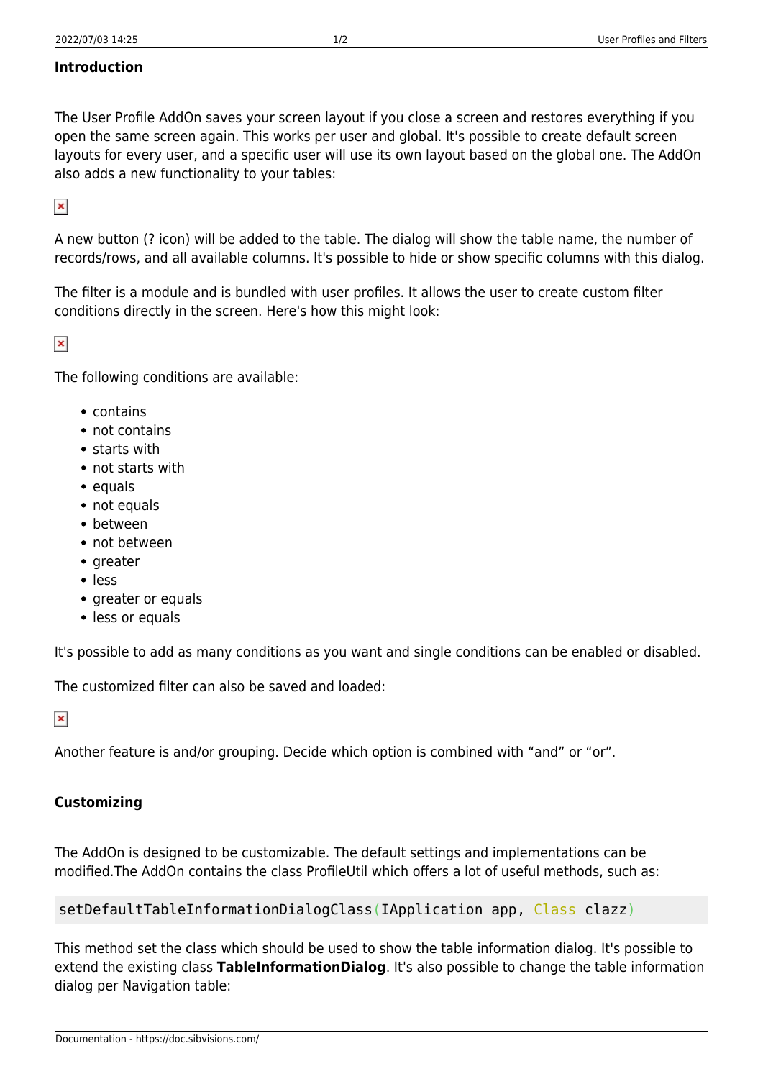### **Introduction**

The User Profile AddOn saves your screen layout if you close a screen and restores everything if you open the same screen again. This works per user and global. It's possible to create default screen layouts for every user, and a specific user will use its own layout based on the global one. The AddOn also adds a new functionality to your tables:

 $\pmb{\times}$ 

A new button (? icon) will be added to the table. The dialog will show the table name, the number of records/rows, and all available columns. It's possible to hide or show specific columns with this dialog.

The filter is a module and is bundled with user profiles. It allows the user to create custom filter conditions directly in the screen. Here's how this might look:

 $\pmb{\times}$ 

The following conditions are available:

- contains
- not contains
- starts with
- not starts with
- $\bullet$  equals
- not equals
- between
- not between
- $\bullet$  greater
- less
- greater or equals
- less or equals

It's possible to add as many conditions as you want and single conditions can be enabled or disabled.

The customized filter can also be saved and loaded:

 $\pmb{\times}$ 

Another feature is and/or grouping. Decide which option is combined with "and" or "or".

### **Customizing**

The AddOn is designed to be customizable. The default settings and implementations can be modified.The AddOn contains the class ProfileUtil which offers a lot of useful methods, such as:

setDefaultTableInformationDialogClass(IApplication app, Class clazz)

This method set the class which should be used to show the table information dialog. It's possible to extend the existing class **TableInformationDialog**. It's also possible to change the table information dialog per Navigation table: